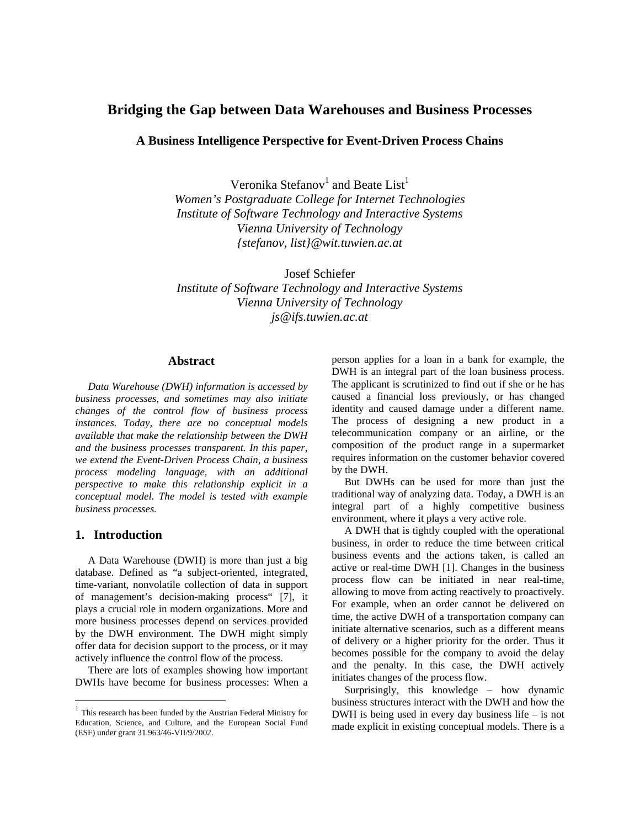## **Bridging the Gap between Data Warehouses and Business Processes**

**A Business Intelligence Perspective for Event-Driven Process Chains** 

Veronika Stefanov $^1$  and Beate List $^1$ 

*Women's Postgraduate College for Internet Technologies Institute of Software Technology and Interactive Systems Vienna University of Technology {stefanov, list}@wit.tuwien.ac.at* 

Josef Schiefer *Institute of Software Technology and Interactive Systems Vienna University of Technology js@ifs.tuwien.ac.at* 

## **Abstract**

*Data Warehouse (DWH) information is accessed by business processes, and sometimes may also initiate changes of the control flow of business process instances. Today, there are no conceptual models available that make the relationship between the DWH and the business processes transparent. In this paper, we extend the Event-Driven Process Chain, a business process modeling language, with an additional perspective to make this relationship explicit in a conceptual model. The model is tested with example business processes.* 

## **1. Introduction**

-

A Data Warehouse (DWH) is more than just a big database. Defined as "a subject-oriented, integrated, time-variant, nonvolatile collection of data in support of management's decision-making process" [7], it plays a crucial role in modern organizations. More and more business processes depend on services provided by the DWH environment. The DWH might simply offer data for decision support to the process, or it may actively influence the control flow of the process.

There are lots of examples showing how important DWHs have become for business processes: When a

person applies for a loan in a bank for example, the DWH is an integral part of the loan business process. The applicant is scrutinized to find out if she or he has caused a financial loss previously, or has changed identity and caused damage under a different name. The process of designing a new product in a telecommunication company or an airline, or the composition of the product range in a supermarket requires information on the customer behavior covered by the DWH.

But DWHs can be used for more than just the traditional way of analyzing data. Today, a DWH is an integral part of a highly competitive business environment, where it plays a very active role.

A DWH that is tightly coupled with the operational business, in order to reduce the time between critical business events and the actions taken, is called an active or real-time DWH [1]. Changes in the business process flow can be initiated in near real-time, allowing to move from acting reactively to proactively. For example, when an order cannot be delivered on time, the active DWH of a transportation company can initiate alternative scenarios, such as a different means of delivery or a higher priority for the order. Thus it becomes possible for the company to avoid the delay and the penalty. In this case, the DWH actively initiates changes of the process flow.

Surprisingly, this knowledge – how dynamic business structures interact with the DWH and how the DWH is being used in every day business life – is not made explicit in existing conceptual models. There is a

 $1$  This research has been funded by the Austrian Federal Ministry for Education, Science, and Culture, and the European Social Fund (ESF) under grant 31.963/46-VII/9/2002.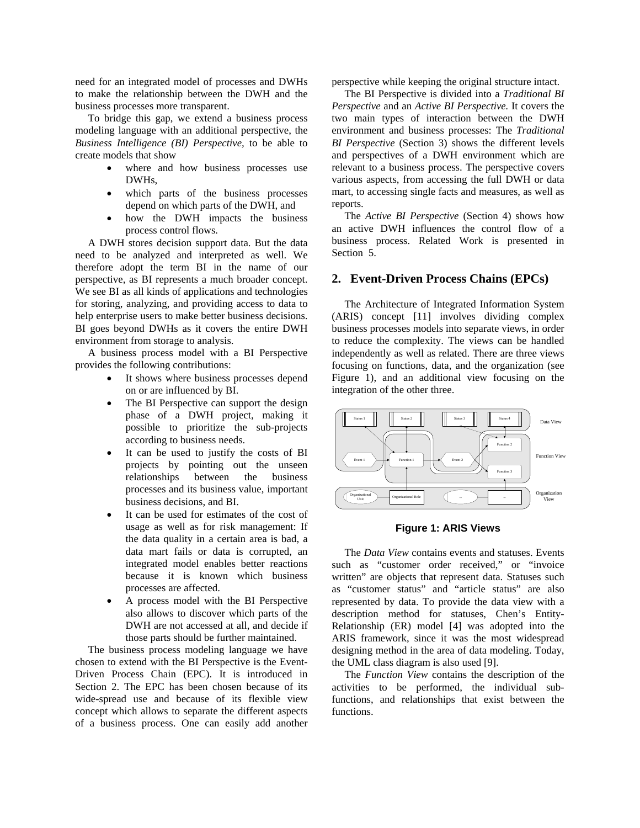need for an integrated model of processes and DWHs to make the relationship between the DWH and the business processes more transparent.

To bridge this gap, we extend a business process modeling language with an additional perspective, the *Business Intelligence (BI) Perspective,* to be able to create models that show

- where and how business processes use DWHs,
- which parts of the business processes depend on which parts of the DWH, and
- how the DWH impacts the business process control flows.

A DWH stores decision support data. But the data need to be analyzed and interpreted as well. We therefore adopt the term BI in the name of our perspective, as BI represents a much broader concept. We see BI as all kinds of applications and technologies for storing, analyzing, and providing access to data to help enterprise users to make better business decisions. BI goes beyond DWHs as it covers the entire DWH environment from storage to analysis.

A business process model with a BI Perspective provides the following contributions:

- It shows where business processes depend on or are influenced by BI.
- The BI Perspective can support the design phase of a DWH project, making it possible to prioritize the sub-projects according to business needs.
- It can be used to justify the costs of BI projects by pointing out the unseen relationships between the business processes and its business value, important business decisions, and BI.
- It can be used for estimates of the cost of usage as well as for risk management: If the data quality in a certain area is bad, a data mart fails or data is corrupted, an integrated model enables better reactions because it is known which business processes are affected.
- A process model with the BI Perspective also allows to discover which parts of the DWH are not accessed at all, and decide if those parts should be further maintained.

The business process modeling language we have chosen to extend with the BI Perspective is the Event-Driven Process Chain (EPC). It is introduced in Section 2. The EPC has been chosen because of its wide-spread use and because of its flexible view concept which allows to separate the different aspects of a business process. One can easily add another perspective while keeping the original structure intact.

The BI Perspective is divided into a *Traditional BI Perspective* and an *Active BI Perspective.* It covers the two main types of interaction between the DWH environment and business processes: The *Traditional BI Perspective* (Section 3) shows the different levels and perspectives of a DWH environment which are relevant to a business process. The perspective covers various aspects, from accessing the full DWH or data mart, to accessing single facts and measures, as well as reports.

The *Active BI Perspective* (Section 4) shows how an active DWH influences the control flow of a business process. Related Work is presented in Section 5.

#### **2. Event-Driven Process Chains (EPCs)**

The Architecture of Integrated Information System (ARIS) concept [11] involves dividing complex business processes models into separate views, in order to reduce the complexity. The views can be handled independently as well as related. There are three views focusing on functions, data, and the organization (see Figure 1), and an additional view focusing on the integration of the other three.



#### **Figure 1: ARIS Views**

The *Data View* contains events and statuses. Events such as "customer order received," or "invoice written" are objects that represent data. Statuses such as "customer status" and "article status" are also represented by data. To provide the data view with a description method for statuses, Chen's Entity-Relationship (ER) model [4] was adopted into the ARIS framework, since it was the most widespread designing method in the area of data modeling. Today, the UML class diagram is also used [9].

The *Function View* contains the description of the activities to be performed, the individual subfunctions, and relationships that exist between the functions.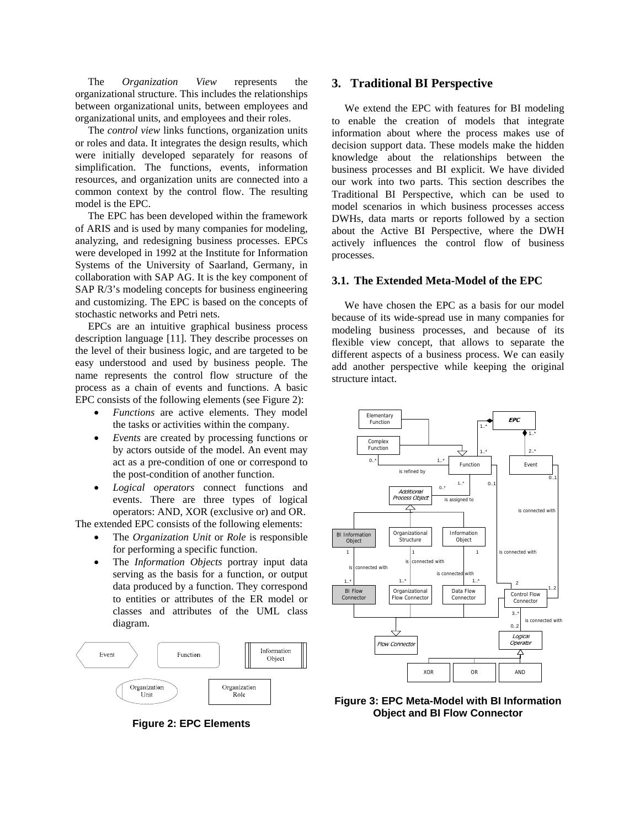The *Organization View* represents the organizational structure. This includes the relationships between organizational units, between employees and organizational units, and employees and their roles.

The *control view* links functions, organization units or roles and data. It integrates the design results, which were initially developed separately for reasons of simplification. The functions, events, information resources, and organization units are connected into a common context by the control flow. The resulting model is the EPC.

The EPC has been developed within the framework of ARIS and is used by many companies for modeling, analyzing, and redesigning business processes. EPCs were developed in 1992 at the Institute for Information Systems of the University of Saarland, Germany, in collaboration with SAP AG. It is the key component of SAP R/3's modeling concepts for business engineering and customizing. The EPC is based on the concepts of stochastic networks and Petri nets.

EPCs are an intuitive graphical business process description language [11]. They describe processes on the level of their business logic, and are targeted to be easy understood and used by business people. The name represents the control flow structure of the process as a chain of events and functions. A basic EPC consists of the following elements (see Figure 2):

- *Functions* are active elements. They model the tasks or activities within the company.
- *Events* are created by processing functions or by actors outside of the model. An event may act as a pre-condition of one or correspond to the post-condition of another function.
- *Logical operators* connect functions and events. There are three types of logical operators: AND, XOR (exclusive or) and OR.

The extended EPC consists of the following elements:

- The *Organization Unit* or *Role* is responsible for performing a specific function.
- The *Information Objects* portray input data serving as the basis for a function, or output data produced by a function. They correspond to entities or attributes of the ER model or classes and attributes of the UML class diagram.



**Figure 2: EPC Elements** 

## **3. Traditional BI Perspective**

We extend the EPC with features for BI modeling to enable the creation of models that integrate information about where the process makes use of decision support data. These models make the hidden knowledge about the relationships between the business processes and BI explicit. We have divided our work into two parts. This section describes the Traditional BI Perspective, which can be used to model scenarios in which business processes access DWHs, data marts or reports followed by a section about the Active BI Perspective, where the DWH actively influences the control flow of business processes.

#### **3.1. The Extended Meta-Model of the EPC**

We have chosen the EPC as a basis for our model because of its wide-spread use in many companies for modeling business processes, and because of its flexible view concept, that allows to separate the different aspects of a business process. We can easily add another perspective while keeping the original structure intact.



**Figure 3: EPC Meta-Model with BI Information Object and BI Flow Connector**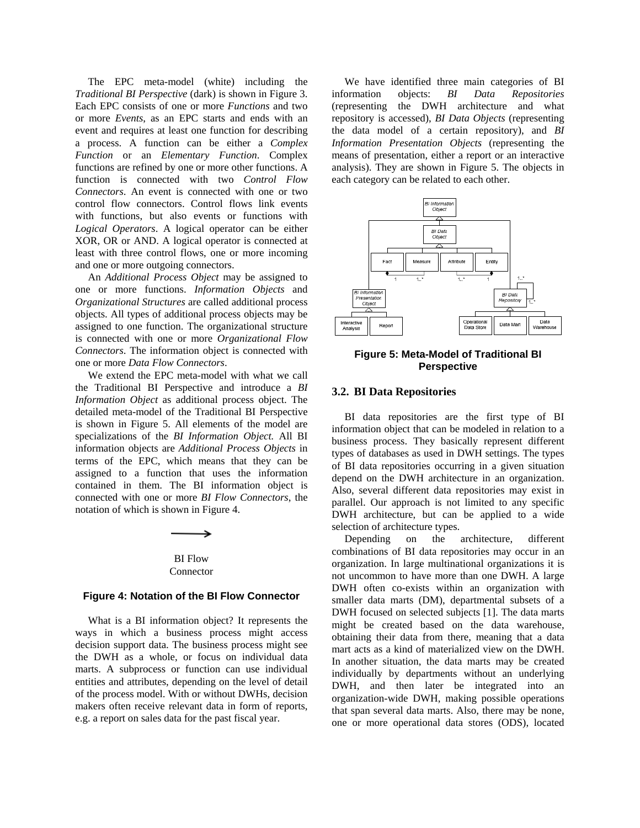The EPC meta-model (white) including the *Traditional BI Perspective* (dark) is shown in Figure 3. Each EPC consists of one or more *Functions* and two or more *Events*, as an EPC starts and ends with an event and requires at least one function for describing a process. A function can be either a *Complex Function* or an *Elementary Function*. Complex functions are refined by one or more other functions. A function is connected with two *Control Flow Connectors*. An event is connected with one or two control flow connectors. Control flows link events with functions, but also events or functions with *Logical Operators*. A logical operator can be either XOR, OR or AND. A logical operator is connected at least with three control flows, one or more incoming and one or more outgoing connectors.

An *Additional Process Object* may be assigned to one or more functions. *Information Objects* and *Organizational Structures* are called additional process objects. All types of additional process objects may be assigned to one function. The organizational structure is connected with one or more *Organizational Flow Connectors*. The information object is connected with one or more *Data Flow Connectors*.

We extend the EPC meta-model with what we call the Traditional BI Perspective and introduce a *BI Information Object* as additional process object. The detailed meta-model of the Traditional BI Perspective is shown in Figure 5. All elements of the model are specializations of the *BI Information Object.* All BI information objects are *Additional Process Objects* in terms of the EPC, which means that they can be assigned to a function that uses the information contained in them. The BI information object is connected with one or more *BI Flow Connectors*, the notation of which is shown in Figure 4.

# BI Flow Connector

#### **Figure 4: Notation of the BI Flow Connector**

What is a BI information object? It represents the ways in which a business process might access decision support data. The business process might see the DWH as a whole, or focus on individual data marts. A subprocess or function can use individual entities and attributes, depending on the level of detail of the process model. With or without DWHs, decision makers often receive relevant data in form of reports, e.g. a report on sales data for the past fiscal year.

We have identified three main categories of BI information objects: *BI Data Repositories*  (representing the DWH architecture and what repository is accessed), *BI Data Objects* (representing the data model of a certain repository), and *BI Information Presentation Objects* (representing the means of presentation, either a report or an interactive analysis). They are shown in Figure 5. The objects in each category can be related to each other.



#### **Figure 5: Meta-Model of Traditional BI Perspective**

#### **3.2. BI Data Repositories**

BI data repositories are the first type of BI information object that can be modeled in relation to a business process. They basically represent different types of databases as used in DWH settings. The types of BI data repositories occurring in a given situation depend on the DWH architecture in an organization. Also, several different data repositories may exist in parallel. Our approach is not limited to any specific DWH architecture, but can be applied to a wide selection of architecture types.

Depending on the architecture, different combinations of BI data repositories may occur in an organization. In large multinational organizations it is not uncommon to have more than one DWH. A large DWH often co-exists within an organization with smaller data marts (DM), departmental subsets of a DWH focused on selected subjects [1]. The data marts might be created based on the data warehouse, obtaining their data from there, meaning that a data mart acts as a kind of materialized view on the DWH. In another situation, the data marts may be created individually by departments without an underlying DWH, and then later be integrated into an organization-wide DWH, making possible operations that span several data marts. Also, there may be none, one or more operational data stores (ODS), located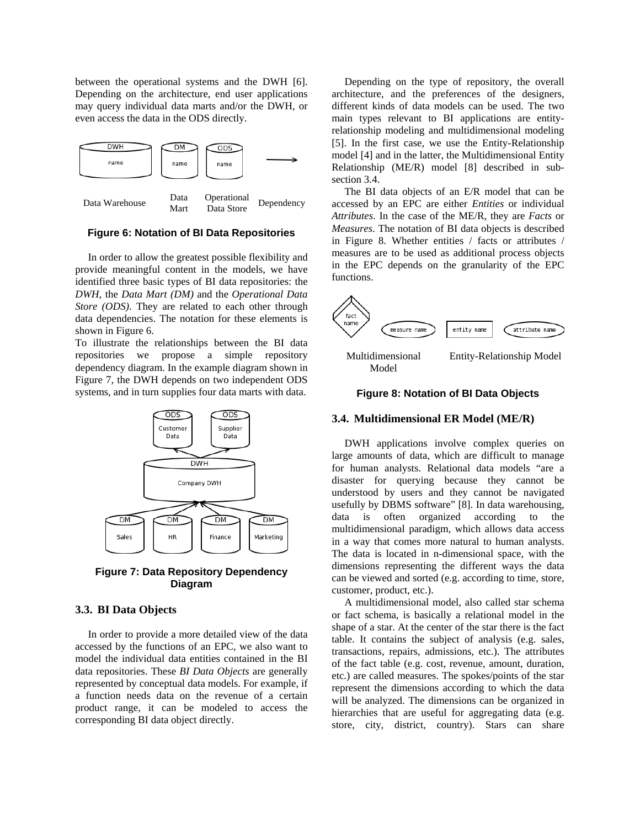between the operational systems and the DWH [6]. Depending on the architecture, end user applications may query individual data marts and/or the DWH, or even access the data in the ODS directly.



**Figure 6: Notation of BI Data Repositories** 

In order to allow the greatest possible flexibility and provide meaningful content in the models, we have identified three basic types of BI data repositories: the *DWH*, the *Data Mart (DM)* and the *Operational Data Store (ODS)*. They are related to each other through data dependencies. The notation for these elements is shown in Figure 6.

To illustrate the relationships between the BI data repositories we propose a simple repository dependency diagram. In the example diagram shown in Figure 7, the DWH depends on two independent ODS systems, and in turn supplies four data marts with data.



**Figure 7: Data Repository Dependency Diagram** 

## **3.3. BI Data Objects**

In order to provide a more detailed view of the data accessed by the functions of an EPC, we also want to model the individual data entities contained in the BI data repositories. These *BI Data Objects* are generally represented by conceptual data models. For example, if a function needs data on the revenue of a certain product range, it can be modeled to access the corresponding BI data object directly.

Depending on the type of repository, the overall architecture, and the preferences of the designers, different kinds of data models can be used. The two main types relevant to BI applications are entityrelationship modeling and multidimensional modeling [5]. In the first case, we use the Entity-Relationship model [4] and in the latter, the Multidimensional Entity Relationship (ME/R) model [8] described in subsection 3.4.

The BI data objects of an E/R model that can be accessed by an EPC are either *Entities* or individual *Attributes*. In the case of the ME/R, they are *Facts* or *Measures*. The notation of BI data objects is described in Figure 8. Whether entities / facts or attributes / measures are to be used as additional process objects in the EPC depends on the granularity of the EPC functions.



## **Figure 8: Notation of BI Data Objects**

## **3.4. Multidimensional ER Model (ME/R)**

DWH applications involve complex queries on large amounts of data, which are difficult to manage for human analysts. Relational data models "are a disaster for querying because they cannot be understood by users and they cannot be navigated usefully by DBMS software" [8]. In data warehousing, data is often organized according to the multidimensional paradigm, which allows data access in a way that comes more natural to human analysts. The data is located in n-dimensional space, with the dimensions representing the different ways the data can be viewed and sorted (e.g. according to time, store, customer, product, etc.).

A multidimensional model, also called star schema or fact schema, is basically a relational model in the shape of a star. At the center of the star there is the fact table. It contains the subject of analysis (e.g. sales, transactions, repairs, admissions, etc.). The attributes of the fact table (e.g. cost, revenue, amount, duration, etc.) are called measures. The spokes/points of the star represent the dimensions according to which the data will be analyzed. The dimensions can be organized in hierarchies that are useful for aggregating data (e.g. store, city, district, country). Stars can share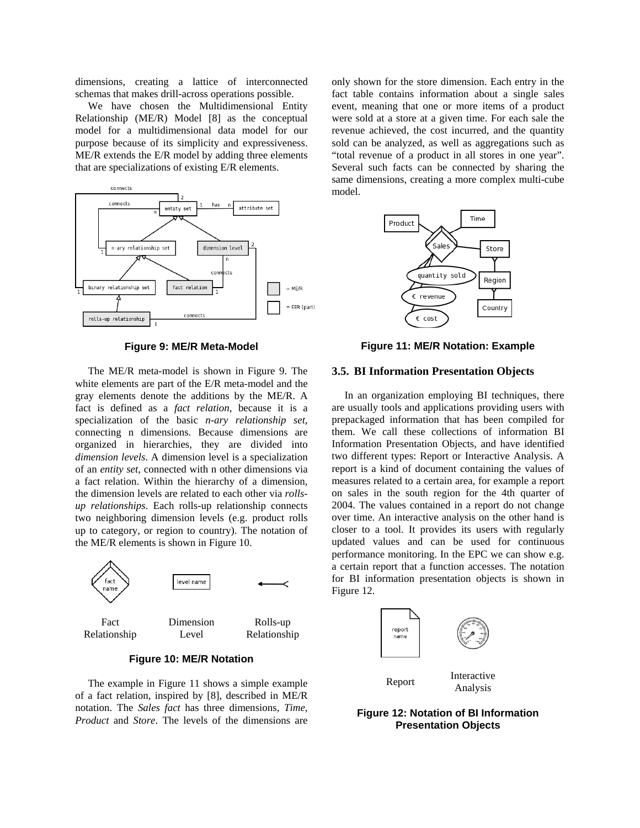dimensions, creating a lattice of interconnected schemas that makes drill-across operations possible.

We have chosen the Multidimensional Entity Relationship (ME/R) Model [8] as the conceptual model for a multidimensional data model for our purpose because of its simplicity and expressiveness. ME/R extends the E/R model by adding three elements that are specializations of existing E/R elements.



**Figure 9: ME/R Meta-Model** 

The ME/R meta-model is shown in Figure 9. The white elements are part of the E/R meta-model and the gray elements denote the additions by the ME/R. A fact is defined as a *fact relation*, because it is a specialization of the basic *n-ary relationship set*, connecting n dimensions. Because dimensions are organized in hierarchies, they are divided into *dimension levels*. A dimension level is a specialization of an *entity set*, connected with n other dimensions via a fact relation. Within the hierarchy of a dimension, the dimension levels are related to each other via *rollsup relationships*. Each rolls-up relationship connects two neighboring dimension levels (e.g. product rolls up to category, or region to country). The notation of the ME/R elements is shown in Figure 10.



**Figure 10: ME/R Notation** 

The example in Figure 11 shows a simple example of a fact relation, inspired by [8], described in ME/R notation. The *Sales fact* has three dimensions, *Time*, *Product* and *Store*. The levels of the dimensions are only shown for the store dimension. Each entry in the fact table contains information about a single sales event, meaning that one or more items of a product were sold at a store at a given time. For each sale the revenue achieved, the cost incurred, and the quantity sold can be analyzed, as well as aggregations such as "total revenue of a product in all stores in one year". Several such facts can be connected by sharing the same dimensions, creating a more complex multi-cube model.



**Figure 11: ME/R Notation: Example** 

#### **3.5. BI Information Presentation Objects**

In an organization employing BI techniques, there are usually tools and applications providing users with prepackaged information that has been compiled for them. We call these collections of information BI Information Presentation Objects, and have identified two different types: Report or Interactive Analysis. A report is a kind of document containing the values of measures related to a certain area, for example a report on sales in the south region for the 4th quarter of 2004. The values contained in a report do not change over time. An interactive analysis on the other hand is closer to a tool. It provides its users with regularly updated values and can be used for continuous performance monitoring. In the EPC we can show e.g. a certain report that a function accesses. The notation for BI information presentation objects is shown in Figure 12.



**Figure 12: Notation of BI Information Presentation Objects**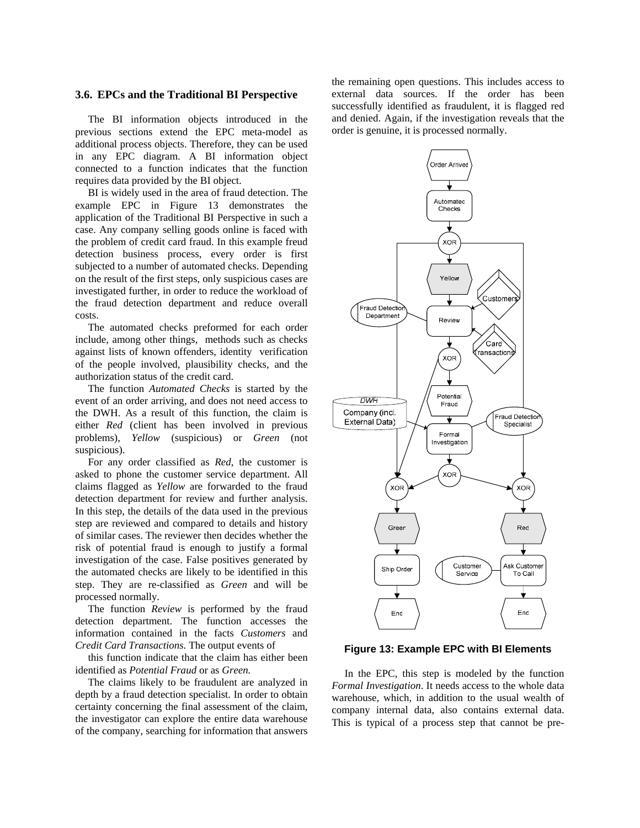#### **3.6. EPCs and the Traditional BI Perspective**

The BI information objects introduced in the previous sections extend the EPC meta-model as additional process objects. Therefore, they can be used in any EPC diagram. A BI information object connected to a function indicates that the function requires data provided by the BI object.

BI is widely used in the area of fraud detection. The example EPC in Figure 13 demonstrates the application of the Traditional BI Perspective in such a case. Any company selling goods online is faced with the problem of credit card fraud. In this example freud detection business process, every order is first subjected to a number of automated checks. Depending on the result of the first steps, only suspicious cases are investigated further, in order to reduce the workload of the fraud detection department and reduce overall costs.

The automated checks preformed for each order include, among other things, methods such as checks against lists of known offenders, identity verification of the people involved, plausibility checks, and the authorization status of the credit card.

The function *Automated Checks* is started by the event of an order arriving, and does not need access to the DWH. As a result of this function, the claim is either *Red* (client has been involved in previous problems), *Yellow* (suspicious) or *Green* (not suspicious).

For any order classified as *Red*, the customer is asked to phone the customer service department. All claims flagged as *Yellow* are forwarded to the fraud detection department for review and further analysis. In this step, the details of the data used in the previous step are reviewed and compared to details and history of similar cases. The reviewer then decides whether the risk of potential fraud is enough to justify a formal investigation of the case. False positives generated by the automated checks are likely to be identified in this step. They are re-classified as *Green* and will be processed normally.

The function *Review* is performed by the fraud detection department. The function accesses the information contained in the facts *Customers* and *Credit Card Transactions*. The output events of

this function indicate that the claim has either been identified as *Potential Fraud* or as *Green.*

The claims likely to be fraudulent are analyzed in depth by a fraud detection specialist. In order to obtain certainty concerning the final assessment of the claim, the investigator can explore the entire data warehouse of the company, searching for information that answers

the remaining open questions. This includes access to external data sources. If the order has been successfully identified as fraudulent, it is flagged red and denied. Again, if the investigation reveals that the order is genuine, it is processed normally.



#### **Figure 13: Example EPC with BI Elements**

In the EPC, this step is modeled by the function *Formal Investigation*. It needs access to the whole data warehouse, which, in addition to the usual wealth of company internal data, also contains external data. This is typical of a process step that cannot be pre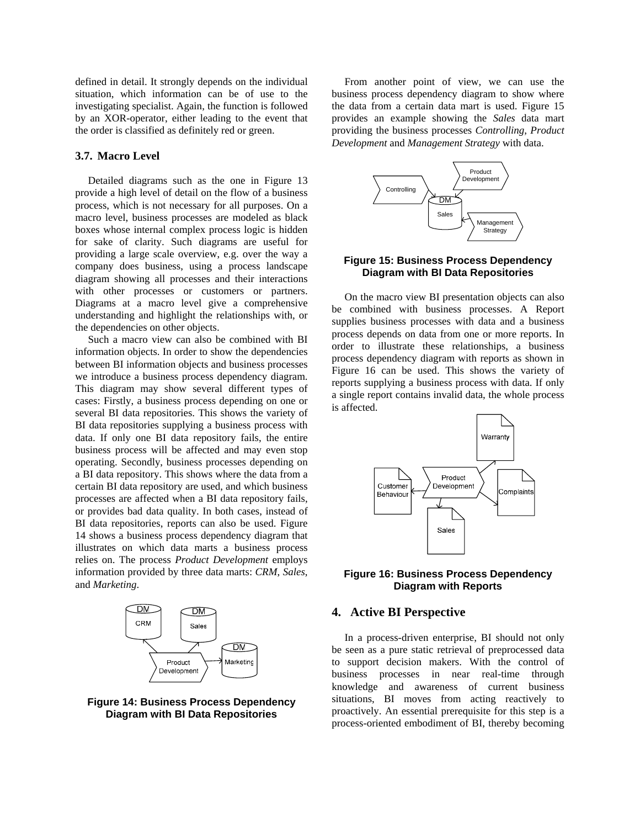defined in detail. It strongly depends on the individual situation, which information can be of use to the investigating specialist. Again, the function is followed by an XOR-operator, either leading to the event that the order is classified as definitely red or green.

## **3.7. Macro Level**

Detailed diagrams such as the one in Figure 13 provide a high level of detail on the flow of a business process, which is not necessary for all purposes. On a macro level, business processes are modeled as black boxes whose internal complex process logic is hidden for sake of clarity. Such diagrams are useful for providing a large scale overview, e.g. over the way a company does business, using a process landscape diagram showing all processes and their interactions with other processes or customers or partners. Diagrams at a macro level give a comprehensive understanding and highlight the relationships with, or the dependencies on other objects.

Such a macro view can also be combined with BI information objects. In order to show the dependencies between BI information objects and business processes we introduce a business process dependency diagram. This diagram may show several different types of cases: Firstly, a business process depending on one or several BI data repositories. This shows the variety of BI data repositories supplying a business process with data. If only one BI data repository fails, the entire business process will be affected and may even stop operating. Secondly, business processes depending on a BI data repository. This shows where the data from a certain BI data repository are used, and which business processes are affected when a BI data repository fails, or provides bad data quality. In both cases, instead of BI data repositories, reports can also be used. Figure 14 shows a business process dependency diagram that illustrates on which data marts a business process relies on. The process *Product Development* employs information provided by three data marts: *CRM*, *Sales*, and *Marketing*.



**Figure 14: Business Process Dependency Diagram with BI Data Repositories** 

From another point of view, we can use the business process dependency diagram to show where the data from a certain data mart is used. Figure 15 provides an example showing the *Sales* data mart providing the business processes *Controlling*, *Product Development* and *Management Strategy* with data.



### **Figure 15: Business Process Dependency Diagram with BI Data Repositories**

On the macro view BI presentation objects can also be combined with business processes. A Report supplies business processes with data and a business process depends on data from one or more reports. In order to illustrate these relationships, a business process dependency diagram with reports as shown in Figure 16 can be used. This shows the variety of reports supplying a business process with data. If only a single report contains invalid data, the whole process is affected.



## **Figure 16: Business Process Dependency Diagram with Reports**

## **4. Active BI Perspective**

In a process-driven enterprise, BI should not only be seen as a pure static retrieval of preprocessed data to support decision makers. With the control of business processes in near real-time through knowledge and awareness of current business situations, BI moves from acting reactively to proactively. An essential prerequisite for this step is a process-oriented embodiment of BI, thereby becoming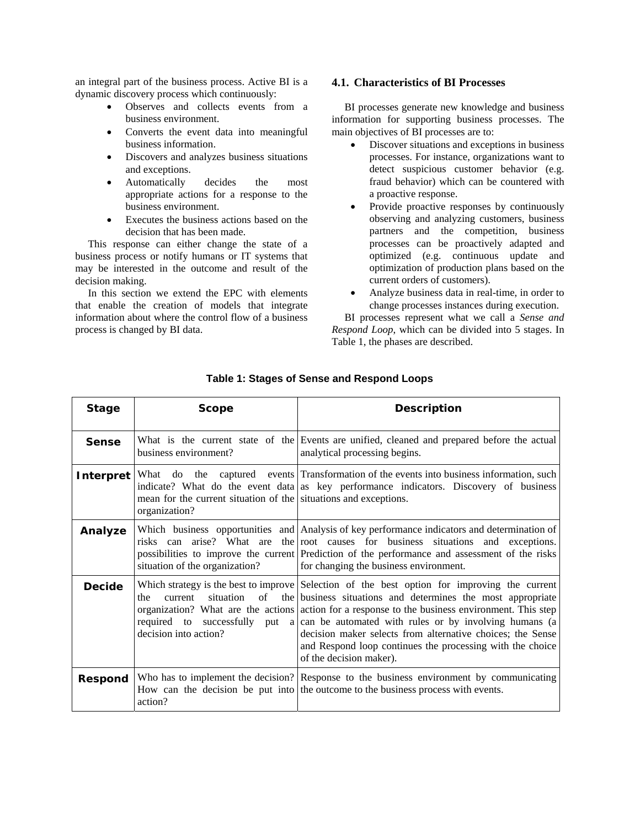an integral part of the business process. Active BI is a dynamic discovery process which continuously:

- Observes and collects events from a business environment.
- Converts the event data into meaningful business information.
- Discovers and analyzes business situations and exceptions.
- Automatically decides the most appropriate actions for a response to the business environment.
- Executes the business actions based on the decision that has been made.

This response can either change the state of a business process or notify humans or IT systems that may be interested in the outcome and result of the decision making.

In this section we extend the EPC with elements that enable the creation of models that integrate information about where the control flow of a business process is changed by BI data.

### **4.1. Characteristics of BI Processes**

BI processes generate new knowledge and business information for supporting business processes. The main objectives of BI processes are to:

- Discover situations and exceptions in business processes. For instance, organizations want to detect suspicious customer behavior (e.g. fraud behavior) which can be countered with a proactive response.
- Provide proactive responses by continuously observing and analyzing customers, business partners and the competition, business processes can be proactively adapted and optimized (e.g. continuous update and optimization of production plans based on the current orders of customers).
- Analyze business data in real-time, in order to change processes instances during execution.

BI processes represent what we call a *Sense and Respond Loop*, which can be divided into 5 stages. In Table 1, the phases are described.

| <b>Stage</b>  | <b>Scope</b>                                                                                        | <b>Description</b>                                                                                                                                                                                                                                                                                                                                                                                                                                                                                              |
|---------------|-----------------------------------------------------------------------------------------------------|-----------------------------------------------------------------------------------------------------------------------------------------------------------------------------------------------------------------------------------------------------------------------------------------------------------------------------------------------------------------------------------------------------------------------------------------------------------------------------------------------------------------|
| <b>Sense</b>  | business environment?                                                                               | What is the current state of the Events are unified, cleaned and prepared before the actual<br>analytical processing begins.                                                                                                                                                                                                                                                                                                                                                                                    |
| Interpret     | What<br>do the<br>mean for the current situation of the situations and exceptions.<br>organization? | captured events Transformation of the events into business information, such<br>indicate? What do the event data as key performance indicators. Discovery of business                                                                                                                                                                                                                                                                                                                                           |
| Analyze       | situation of the organization?                                                                      | Which business opportunities and Analysis of key performance indicators and determination of<br>risks can arise? What are the root causes for business situations and exceptions.<br>possibilities to improve the current Prediction of the performance and assessment of the risks<br>for changing the business environment.                                                                                                                                                                                   |
| <b>Decide</b> | situation<br>current<br>the<br>decision into action?                                                | Which strategy is the best to improve Selection of the best option for improving the current<br>of the business situations and determines the most appropriate<br>organization? What are the actions action for a response to the business environment. This step<br>required to successfully put a can be automated with rules or by involving humans (a<br>decision maker selects from alternative choices; the Sense<br>and Respond loop continues the processing with the choice<br>of the decision maker). |
| Respond       | action?                                                                                             | Who has to implement the decision? Response to the business environment by communicating<br>How can the decision be put into the outcome to the business process with events.                                                                                                                                                                                                                                                                                                                                   |

## **Table 1: Stages of Sense and Respond Loops**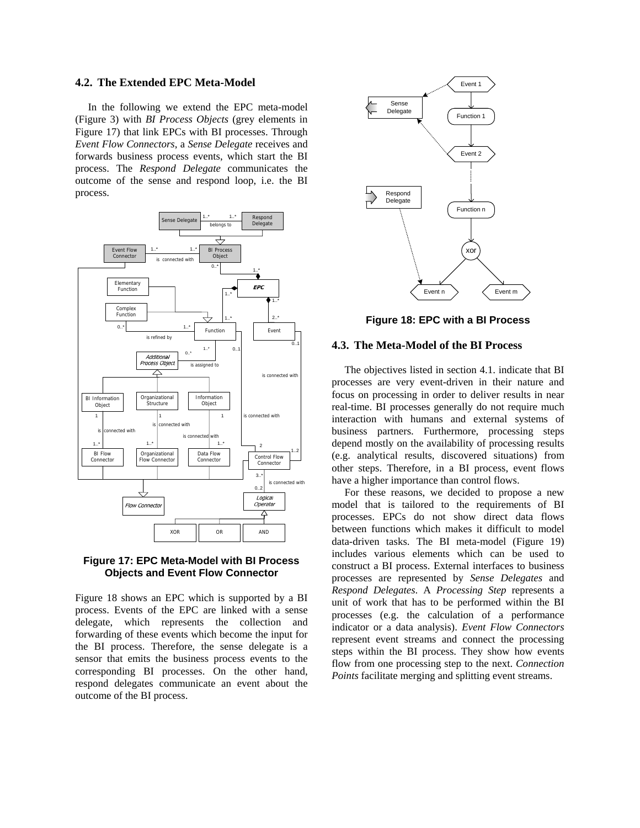#### **4.2. The Extended EPC Meta-Model**

In the following we extend the EPC meta-model (Figure 3) with *BI Process Objects* (grey elements in Figure 17) that link EPCs with BI processes. Through *Event Flow Connectors*, a *Sense Delegate* receives and forwards business process events, which start the BI process. The *Respond Delegate* communicates the outcome of the sense and respond loop, i.e. the BI process.





Figure 18 shows an EPC which is supported by a BI process. Events of the EPC are linked with a sense delegate, which represents the collection and forwarding of these events which become the input for the BI process. Therefore, the sense delegate is a sensor that emits the business process events to the corresponding BI processes. On the other hand, respond delegates communicate an event about the outcome of the BI process.



**Figure 18: EPC with a BI Process** 

#### **4.3. The Meta-Model of the BI Process**

The objectives listed in section 4.1. indicate that BI processes are very event-driven in their nature and focus on processing in order to deliver results in near real-time. BI processes generally do not require much interaction with humans and external systems of business partners. Furthermore, processing steps depend mostly on the availability of processing results (e.g. analytical results, discovered situations) from other steps. Therefore, in a BI process, event flows have a higher importance than control flows.

For these reasons, we decided to propose a new model that is tailored to the requirements of BI processes. EPCs do not show direct data flows between functions which makes it difficult to model data-driven tasks. The BI meta-model (Figure 19) includes various elements which can be used to construct a BI process. External interfaces to business processes are represented by *Sense Delegates* and *Respond Delegates*. A *Processing Step* represents a unit of work that has to be performed within the BI processes (e.g. the calculation of a performance indicator or a data analysis). *Event Flow Connectors* represent event streams and connect the processing steps within the BI process. They show how events flow from one processing step to the next. *Connection Points* facilitate merging and splitting event streams.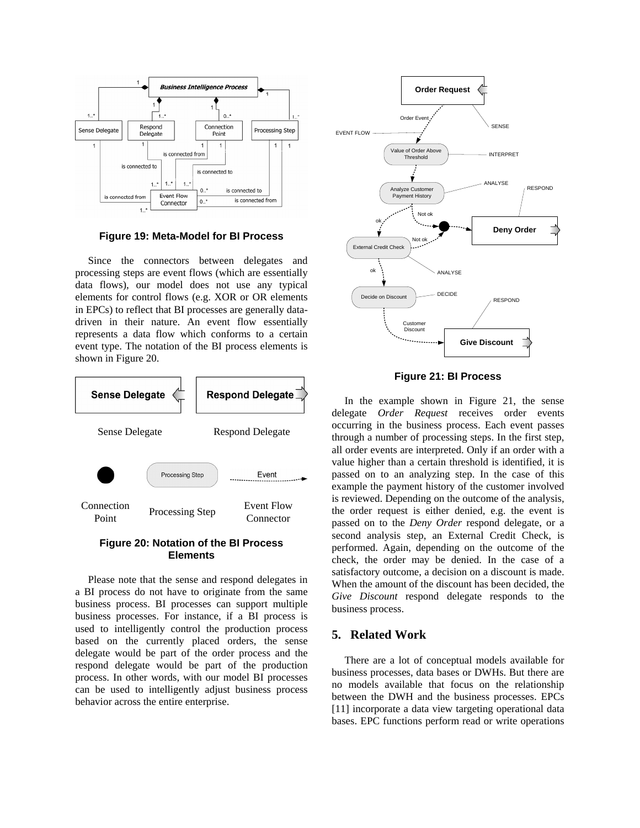

**Figure 19: Meta-Model for BI Process** 

Since the connectors between delegates and processing steps are event flows (which are essentially data flows), our model does not use any typical elements for control flows (e.g. XOR or OR elements in EPCs) to reflect that BI processes are generally datadriven in their nature. An event flow essentially represents a data flow which conforms to a certain event type. The notation of the BI process elements is shown in Figure 20.



### **Figure 20: Notation of the BI Process Elements**

Please note that the sense and respond delegates in a BI process do not have to originate from the same business process. BI processes can support multiple business processes. For instance, if a BI process is used to intelligently control the production process based on the currently placed orders, the sense delegate would be part of the order process and the respond delegate would be part of the production process. In other words, with our model BI processes can be used to intelligently adjust business process behavior across the entire enterprise.



**Figure 21: BI Process** 

In the example shown in Figure 21, the sense delegate *Order Request* receives order events occurring in the business process. Each event passes through a number of processing steps. In the first step, all order events are interpreted. Only if an order with a value higher than a certain threshold is identified, it is passed on to an analyzing step. In the case of this example the payment history of the customer involved is reviewed. Depending on the outcome of the analysis, the order request is either denied, e.g. the event is passed on to the *Deny Order* respond delegate, or a second analysis step, an External Credit Check, is performed. Again, depending on the outcome of the check, the order may be denied. In the case of a satisfactory outcome, a decision on a discount is made. When the amount of the discount has been decided, the *Give Discount* respond delegate responds to the business process.

## **5. Related Work**

There are a lot of conceptual models available for business processes, data bases or DWHs. But there are no models available that focus on the relationship between the DWH and the business processes. EPCs [11] incorporate a data view targeting operational data bases. EPC functions perform read or write operations